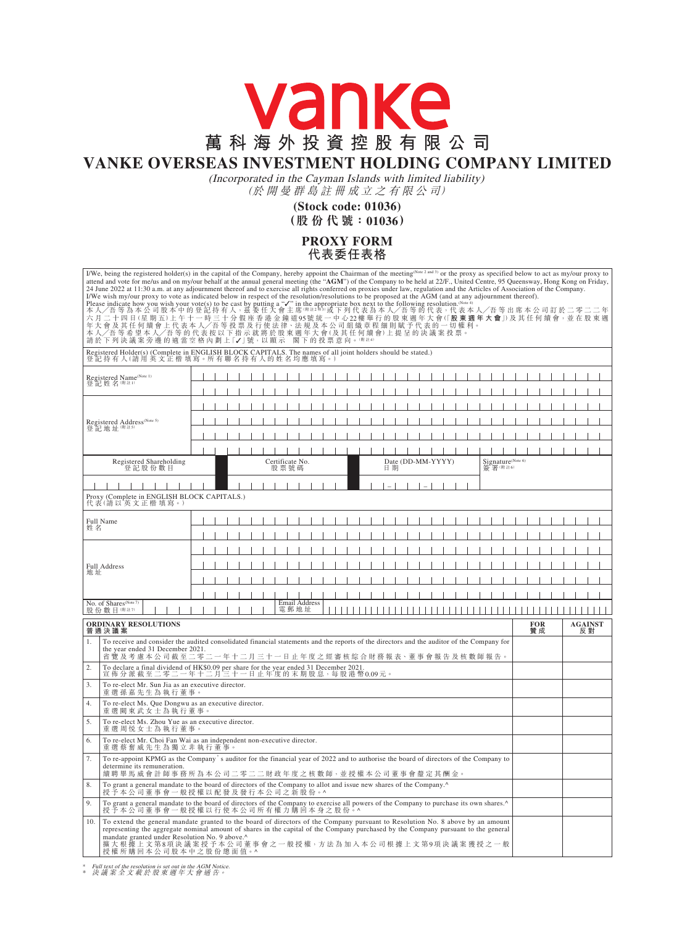## vanke **萬科海外投資控股有限公司**

## **VANKE OVERSEAS INVESTMENT HOLDING COMPANY LIMITED**

(Incorporated in the Cayman Islands with limited liability) (於 開 曼 群 島 註 冊 成 立 之 有 限 公 司)

> **(Stock code: 01036) (股 份 代 號:01036)**

## **PROXY FORM 代表委任表格**

|                                                                                                            | I/We, being the registered holder(s) in the capital of the Company, hereby appoint the Chairman of the meeting(Note 2 and 3) or the proxy as specified below to act as my/our proxy to<br>attend and vote for me/us and on my/our behalf at the annual general meeting (the "AGM") of the Company to be held at 22/F., United Centre, 95 Queensway, Hong Kong on Friday,<br>24 June 2022 at 11:30 a.m. at any adjournment thereof and to exercise all rights conferred on proxies under law, regulation and the Articles of Association of the Company.<br>I/We wish my/our proxy to vote as indicated below in respect of the resolution/resolutions to be proposed at the AGM (and at any adjournment thereof).<br>I've wist myou proxy with your vote (s) to be cast by putting a "V" in the appropriate box next to the following resolution & our equal case indicate how you wish your vote (s) to be cast by putting a "V" in the appropria<br>本人/吾等希望本人/吾等的代表按以下指示就將於股東週年大會(及其任何續會)上提呈的決議案投票。<br>請於下列決議案旁邊的適當空格內劃上「✔」號,以顯示 閣下的投票意向。(第註4) |  |  |  |  |  |  |  |  |                         |  |                      |  |                   |  |                      |  |  |    |                   |  |  |  |  |  |         |  |                               |  |  |  |  |  |  |
|------------------------------------------------------------------------------------------------------------|--------------------------------------------------------------------------------------------------------------------------------------------------------------------------------------------------------------------------------------------------------------------------------------------------------------------------------------------------------------------------------------------------------------------------------------------------------------------------------------------------------------------------------------------------------------------------------------------------------------------------------------------------------------------------------------------------------------------------------------------------------------------------------------------------------------------------------------------------------------------------------------------------------------------------------------------------------------------------------------------------------------------------------------------------|--|--|--|--|--|--|--|--|-------------------------|--|----------------------|--|-------------------|--|----------------------|--|--|----|-------------------|--|--|--|--|--|---------|--|-------------------------------|--|--|--|--|--|--|
|                                                                                                            | Registered Holder(s) (Complete in ENGLISH BLOCK CAPITALS. The names of all joint holders should be stated.)<br>登記持有人(請用英文正楷填寫。所有聯名持有人的姓名均應填寫                                                                                                                                                                                                                                                                                                                                                                                                                                                                                                                                                                                                                                                                                                                                                                                                                                                                                                     |  |  |  |  |  |  |  |  |                         |  |                      |  |                   |  |                      |  |  |    |                   |  |  |  |  |  |         |  |                               |  |  |  |  |  |  |
| Registered Name <sup>(Note 1)</sup><br>登記姓名(附註1)                                                           |                                                                                                                                                                                                                                                                                                                                                                                                                                                                                                                                                                                                                                                                                                                                                                                                                                                                                                                                                                                                                                                  |  |  |  |  |  |  |  |  |                         |  |                      |  |                   |  |                      |  |  |    |                   |  |  |  |  |  |         |  |                               |  |  |  |  |  |  |
|                                                                                                            |                                                                                                                                                                                                                                                                                                                                                                                                                                                                                                                                                                                                                                                                                                                                                                                                                                                                                                                                                                                                                                                  |  |  |  |  |  |  |  |  |                         |  |                      |  |                   |  |                      |  |  |    |                   |  |  |  |  |  |         |  |                               |  |  |  |  |  |  |
|                                                                                                            |                                                                                                                                                                                                                                                                                                                                                                                                                                                                                                                                                                                                                                                                                                                                                                                                                                                                                                                                                                                                                                                  |  |  |  |  |  |  |  |  |                         |  |                      |  |                   |  |                      |  |  |    |                   |  |  |  |  |  |         |  |                               |  |  |  |  |  |  |
| Registered Address <sup>(Note 5)</sup><br>登記地址(附註5)                                                        |                                                                                                                                                                                                                                                                                                                                                                                                                                                                                                                                                                                                                                                                                                                                                                                                                                                                                                                                                                                                                                                  |  |  |  |  |  |  |  |  |                         |  |                      |  |                   |  |                      |  |  |    |                   |  |  |  |  |  |         |  |                               |  |  |  |  |  |  |
|                                                                                                            |                                                                                                                                                                                                                                                                                                                                                                                                                                                                                                                                                                                                                                                                                                                                                                                                                                                                                                                                                                                                                                                  |  |  |  |  |  |  |  |  |                         |  |                      |  |                   |  |                      |  |  |    |                   |  |  |  |  |  |         |  |                               |  |  |  |  |  |  |
|                                                                                                            |                                                                                                                                                                                                                                                                                                                                                                                                                                                                                                                                                                                                                                                                                                                                                                                                                                                                                                                                                                                                                                                  |  |  |  |  |  |  |  |  |                         |  |                      |  |                   |  |                      |  |  |    |                   |  |  |  |  |  |         |  |                               |  |  |  |  |  |  |
|                                                                                                            | Registered Shareholding<br>登記股份數目                                                                                                                                                                                                                                                                                                                                                                                                                                                                                                                                                                                                                                                                                                                                                                                                                                                                                                                                                                                                                |  |  |  |  |  |  |  |  | Certificate No.<br>股票號碼 |  |                      |  |                   |  |                      |  |  | 日期 | Date (DD-MM-YYYY) |  |  |  |  |  | 簽署(附註6) |  | Signature <sup>(Note 6)</sup> |  |  |  |  |  |  |
|                                                                                                            |                                                                                                                                                                                                                                                                                                                                                                                                                                                                                                                                                                                                                                                                                                                                                                                                                                                                                                                                                                                                                                                  |  |  |  |  |  |  |  |  |                         |  |                      |  |                   |  |                      |  |  |    |                   |  |  |  |  |  |         |  |                               |  |  |  |  |  |  |
| Proxy (Complete in ENGLISH BLOCK CAPITALS.)<br>代表(請以英文正楷填寫。)                                               |                                                                                                                                                                                                                                                                                                                                                                                                                                                                                                                                                                                                                                                                                                                                                                                                                                                                                                                                                                                                                                                  |  |  |  |  |  |  |  |  |                         |  |                      |  |                   |  |                      |  |  |    |                   |  |  |  |  |  |         |  |                               |  |  |  |  |  |  |
| Full Name<br>姓名                                                                                            |                                                                                                                                                                                                                                                                                                                                                                                                                                                                                                                                                                                                                                                                                                                                                                                                                                                                                                                                                                                                                                                  |  |  |  |  |  |  |  |  |                         |  |                      |  |                   |  |                      |  |  |    |                   |  |  |  |  |  |         |  |                               |  |  |  |  |  |  |
|                                                                                                            |                                                                                                                                                                                                                                                                                                                                                                                                                                                                                                                                                                                                                                                                                                                                                                                                                                                                                                                                                                                                                                                  |  |  |  |  |  |  |  |  |                         |  |                      |  |                   |  |                      |  |  |    |                   |  |  |  |  |  |         |  |                               |  |  |  |  |  |  |
| Full Address<br>地址                                                                                         |                                                                                                                                                                                                                                                                                                                                                                                                                                                                                                                                                                                                                                                                                                                                                                                                                                                                                                                                                                                                                                                  |  |  |  |  |  |  |  |  |                         |  |                      |  |                   |  |                      |  |  |    |                   |  |  |  |  |  |         |  |                               |  |  |  |  |  |  |
|                                                                                                            |                                                                                                                                                                                                                                                                                                                                                                                                                                                                                                                                                                                                                                                                                                                                                                                                                                                                                                                                                                                                                                                  |  |  |  |  |  |  |  |  |                         |  |                      |  |                   |  |                      |  |  |    |                   |  |  |  |  |  |         |  |                               |  |  |  |  |  |  |
|                                                                                                            |                                                                                                                                                                                                                                                                                                                                                                                                                                                                                                                                                                                                                                                                                                                                                                                                                                                                                                                                                                                                                                                  |  |  |  |  |  |  |  |  |                         |  |                      |  |                   |  |                      |  |  |    |                   |  |  |  |  |  |         |  |                               |  |  |  |  |  |  |
|                                                                                                            |                                                                                                                                                                                                                                                                                                                                                                                                                                                                                                                                                                                                                                                                                                                                                                                                                                                                                                                                                                                                                                                  |  |  |  |  |  |  |  |  |                         |  |                      |  |                   |  |                      |  |  |    |                   |  |  |  |  |  |         |  |                               |  |  |  |  |  |  |
| No. of Shares <sup>(Note 7)</sup><br>股份數目(附註7)                                                             |                                                                                                                                                                                                                                                                                                                                                                                                                                                                                                                                                                                                                                                                                                                                                                                                                                                                                                                                                                                                                                                  |  |  |  |  |  |  |  |  | 電郵地址                    |  | <b>Email Address</b> |  |                   |  |                      |  |  |    |                   |  |  |  |  |  |         |  |                               |  |  |  |  |  |  |
| <b>ORDINARY RESOLUTIONS</b><br>普通決議案                                                                       |                                                                                                                                                                                                                                                                                                                                                                                                                                                                                                                                                                                                                                                                                                                                                                                                                                                                                                                                                                                                                                                  |  |  |  |  |  |  |  |  |                         |  |                      |  | <b>FOR</b><br>贊 成 |  | <b>AGAINST</b><br>反對 |  |  |    |                   |  |  |  |  |  |         |  |                               |  |  |  |  |  |  |
| $\mathbf{1}$ .                                                                                             | To receive and consider the audited consolidated financial statements and the reports of the directors and the auditor of the Company for<br>the year ended 31 December 2021.<br>省覽及考慮本公司截至二零二一年十二月三十一日止年度之經審核綜合財務報表、董事會報告及核數師報告。                                                                                                                                                                                                                                                                                                                                                                                                                                                                                                                                                                                                                                                                                                                                                                                                                |  |  |  |  |  |  |  |  |                         |  |                      |  |                   |  |                      |  |  |    |                   |  |  |  |  |  |         |  |                               |  |  |  |  |  |  |
| $\overline{2}$ .<br>To declare a final dividend of HK\$0.09 per share for the year ended 31 December 2021. |                                                                                                                                                                                                                                                                                                                                                                                                                                                                                                                                                                                                                                                                                                                                                                                                                                                                                                                                                                                                                                                  |  |  |  |  |  |  |  |  |                         |  |                      |  |                   |  |                      |  |  |    |                   |  |  |  |  |  |         |  |                               |  |  |  |  |  |  |
| 3.                                                                                                         | 宣 佈 分 派 截 至 二 零 二 一 年 十 二 月 三 十 一 日 止 年 度 的 末 期 股 息 ,每 股 港 幣 0.09 元 。<br>To re-elect Mr. Sun Jia as an executive director.<br>重選孫嘉先生為執行董事。                                                                                                                                                                                                                                                                                                                                                                                                                                                                                                                                                                                                                                                                                                                                                                                                                                                                                                       |  |  |  |  |  |  |  |  |                         |  |                      |  |                   |  |                      |  |  |    |                   |  |  |  |  |  |         |  |                               |  |  |  |  |  |  |
| 4.                                                                                                         | To re-elect Ms. Que Dongwu as an executive director.<br>重選闕東武女士為執行董事。                                                                                                                                                                                                                                                                                                                                                                                                                                                                                                                                                                                                                                                                                                                                                                                                                                                                                                                                                                            |  |  |  |  |  |  |  |  |                         |  |                      |  |                   |  |                      |  |  |    |                   |  |  |  |  |  |         |  |                               |  |  |  |  |  |  |
| 5.                                                                                                         | To re-elect Ms. Zhou Yue as an executive director.<br>重選周悦女士為執行董事。                                                                                                                                                                                                                                                                                                                                                                                                                                                                                                                                                                                                                                                                                                                                                                                                                                                                                                                                                                               |  |  |  |  |  |  |  |  |                         |  |                      |  |                   |  |                      |  |  |    |                   |  |  |  |  |  |         |  |                               |  |  |  |  |  |  |
| 6.                                                                                                         | To re-elect Mr. Choi Fan Wai as an independent non-executive director.<br>重 選 蔡 奮 威 先 生 為 獨 立 非 執 行 董 事                                                                                                                                                                                                                                                                                                                                                                                                                                                                                                                                                                                                                                                                                                                                                                                                                                                                                                                                          |  |  |  |  |  |  |  |  |                         |  |                      |  |                   |  |                      |  |  |    |                   |  |  |  |  |  |         |  |                               |  |  |  |  |  |  |
| 7.                                                                                                         | To re-appoint KPMG as the Company's auditor for the financial year of 2022 and to authorise the board of directors of the Company to<br>determine its remuneration.<br>續聘畢馬威會計師事務所為本公司二零二二財政年度之核數師,並授權本公司董事會釐定其酬金。                                                                                                                                                                                                                                                                                                                                                                                                                                                                                                                                                                                                                                                                                                                                                                                                                               |  |  |  |  |  |  |  |  |                         |  |                      |  |                   |  |                      |  |  |    |                   |  |  |  |  |  |         |  |                               |  |  |  |  |  |  |
| 8.                                                                                                         | To grant a general mandate to the board of directors of the Company to allot and issue new shares of the Company.^<br>授予本公司董事會一般授權以配發及發行本公司之新股份。^                                                                                                                                                                                                                                                                                                                                                                                                                                                                                                                                                                                                                                                                                                                                                                                                                                                                                                |  |  |  |  |  |  |  |  |                         |  |                      |  |                   |  |                      |  |  |    |                   |  |  |  |  |  |         |  |                               |  |  |  |  |  |  |
| 9.                                                                                                         | To grant a general mandate to the board of directors of the Company to exercise all powers of the Company to purchase its own shares.^<br>授 予 本 公 司 董 事 會 一 般 授 權 以 行 使 本 公 司 所 有 權 力 購 回 本 身 之 股 份 。 ^                                                                                                                                                                                                                                                                                                                                                                                                                                                                                                                                                                                                                                                                                                                                                                                                                                          |  |  |  |  |  |  |  |  |                         |  |                      |  |                   |  |                      |  |  |    |                   |  |  |  |  |  |         |  |                               |  |  |  |  |  |  |
| 10.                                                                                                        | To extend the general mandate granted to the board of directors of the Company pursuant to Resolution No. 8 above by an amount<br>representing the aggregate nominal amount of shares in the capital of the Company purchased by the Company pursuant to the general<br>mandate granted under Resolution No. 9 above.^<br>擴大根據上文第8項決議案授予本公司董事會之一般授權,方法為加入本公司根據上文第9項決議案獲授之一般<br>授權所購回本公司股本中之股份總面值。^                                                                                                                                                                                                                                                                                                                                                                                                                                                                                                                                                                                                                                               |  |  |  |  |  |  |  |  |                         |  |                      |  |                   |  |                      |  |  |    |                   |  |  |  |  |  |         |  |                               |  |  |  |  |  |  |

\* Full text of the resolution is set out in the AGM Notice. \* 決 議 案 全 文 載 於 股 東 週 年 大 會 通 告。